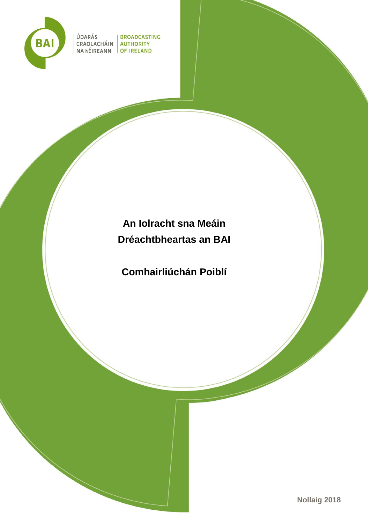

ÚDARÁS<br>CRAOLACHÁIN AUTHORITY<br>NA hÉIREANN OF IRELAND ÚDARÁS

# **An Iolracht sna Meáin Dréachtbheartas an BAI**

**Comhairliúchán Poiblí**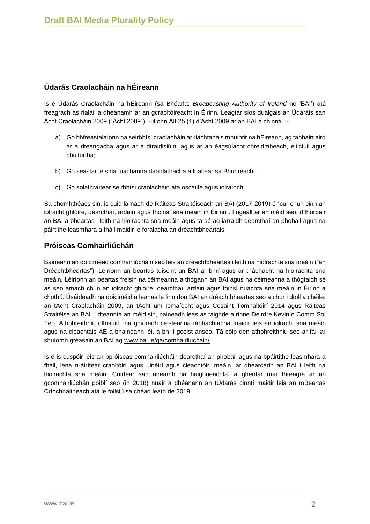# **Údarás Craolacháin na hÉireann**

Is é Údarás Craolacháin na hÉireann (sa Bhéarla: *Broadcasting Authority of Ireland* nó 'BAI') atá freagrach as rialáil a dhéanamh ar an gcraoltóireacht in Éirinn. Leagtar síos dualgais an Údaráis san Acht Craolacháin 2009 ("Acht 2009"). Éilíonn Alt 25 (1) d'Acht 2009 ar an BAI a chinntiú:-

- a) Go bhfreastalaíonn na seirbhísí craolacháin ar riachtanais mhuintir na hÉireann, ag tabhairt aird ar a dteangacha agus ar a dtraidisiúin, agus ar an éagsúlacht chreidmheach, eiticiúil agus chultúrtha;
- b) Go seastar leis na luachanna daonlathacha a luaitear sa Bhunreacht;
- c) Go soláthraítear seirbhísí craolacháin atá oscailte agus iolraíoch.

Sa chomhthéacs sin, is cuid lárnach de Ráiteas Straitéiseach an BAI (2017-2019) é "cur chun cinn an iolracht ghlóire, dearcthaí, ardáin agus fhoinsí sna meáin in Éirinn". I ngeall ar an méid seo, d'fhorbair an BAI a bheartas i leith na hiolrachta sna meáin agus tá sé ag iarraidh dearcthaí an phobail agus na páirtithe leasmhara a fháil maidir le forálacha an dréachtbheartais.

# **Próiseas Comhairliúchán**

Baineann an doiciméad comhairliúcháin seo leis an dréachtbheartas i leith na hiolrachta sna meáin ("an Dréachtbheartas"). Léiríonn an beartas tuiscint an BAI ar bhrí agus ar thábhacht na hiolrachta sna meáin. Léiríonn an beartas freisin na céimeanna a thógann an BAI agus na céimeanna a thógfaidh sé as seo amach chun an iolracht ghlóire, dearcthaí, ardáin agus foinsí nuachta sna meáin in Éirinn a chothú. Úsáideadh na doiciméid a leanas le linn don BAI an dréachtbheartas seo a chur i dtoll a chéile: an tAcht Craolacháin 2009, an tAcht um Iomaíocht agus Cosaint Tomhaltóirí 2014 agus Ráiteas Straitéise an BAI. I dteannta an méid sin, baineadh leas as taighde a rinne Deirdre Kevin ó Comm Sol Teo. Athbhreithniú dlínsiúil, ina gcíoradh ceisteanna tábhachtacha maidir leis an iolracht sna meáin agus na cleachtais AE a bhaineann léi, a bhí i gceist anseo. Tá cóip den athbhreithniú seo ar fáil ar shuíomh gréasáin an BAI ag [www.bai.ie/ga/comhairliuchain/.](http://www.bai.ie/ga/comhairliuchain/)

Is é is cuspóir leis an bpróiseas comhairliúcháin dearcthaí an phobail agus na bpáirtithe leasmhara a fháil, lena n-áirítear craoltóirí agus úinéirí agus cleachtóirí meáin, ar dhearcadh an BAI i leith na hiolrachta sna meáin. Cuirfear san áireamh na haighneachtaí a gheofar mar fhreagra ar an gcomhairliúchán poiblí seo (in 2018) nuair a dhéanann an tÚdarás cinntí maidir leis an mBeartas Críochnaitheach atá le foilsiú sa chéad leath de 2019.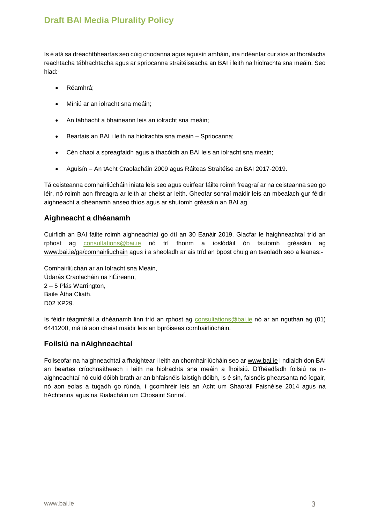Is é atá sa dréachtbheartas seo cúig chodanna agus aguisín amháin, ina ndéantar cur síos ar fhorálacha reachtacha tábhachtacha agus ar spriocanna straitéiseacha an BAI i leith na hiolrachta sna meáin. Seo hiad:-

- Réamhrá;
- Míniú ar an iolracht sna meáin;
- An tábhacht a bhaineann leis an iolracht sna meáin;
- Beartais an BAI i leith na hiolrachta sna meáin Spriocanna;
- Cén chaoi a spreagfaidh agus a thacóidh an BAI leis an iolracht sna meáin;
- Aguisín An tAcht Craolacháin 2009 agus Ráiteas Straitéise an BAI 2017-2019.

Tá ceisteanna comhairliúcháin iniata leis seo agus cuirfear fáilte roimh freagraí ar na ceisteanna seo go léir, nó roimh aon fhreagra ar leith ar cheist ar leith. Gheofar sonraí maidir leis an mbealach gur féidir aighneacht a dhéanamh anseo thíos agus ar shuíomh gréasáin an BAI ag

# **Aighneacht a dhéanamh**

Cuirfidh an BAI fáilte roimh aighneachtaí go dtí an 30 Eanáir 2019. Glacfar le haighneachtaí tríd an rphost ag [consultations@bai.ie](mailto:consultations@bai.ie) nó trí fhoirm a íoslódáil ón tsuíomh gréasáin ag [www.bai.ie/ga/comhairliuchain](http://www.bai.ie/ga/comhairliuchain) agus í a sheoladh ar ais tríd an bpost chuig an tseoladh seo a leanas:-

Comhairliúchán ar an Iolracht sna Meáin, Údarás Craolacháin na hÉireann, 2 – 5 Plás Warrington, Baile Átha Cliath, D02 XP29.

Is féidir téagmháil a dhéanamh linn tríd an rphost ag [consultations@bai.ie](mailto:consultations@bai.ie) nó ar an nguthán ag (01) 6441200, má tá aon cheist maidir leis an bpróiseas comhairliúcháin.

# **Foilsiú na nAighneachtaí**

Foilseofar na haighneachtaí a fhaightear i leith an chomhairliúcháin seo ar [www.bai.ie](https://www.bai.ie/ga/) i ndiaidh don BAI an beartas críochnaitheach i leith na hiolrachta sna meáin a fhoilsiú. D'fhéadfadh foilsiú na naighneachtaí nó cuid dóibh brath ar an bhfaisnéis laistigh dóibh, is é sin, faisnéis phearsanta nó íogair, nó aon eolas a tugadh go rúnda, i gcomhréir leis an Acht um Shaoráil Faisnéise 2014 agus na hAchtanna agus na Rialacháin um Chosaint Sonraí.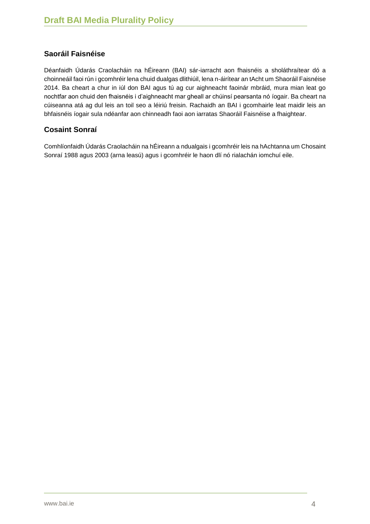# **Saoráil Faisnéise**

Déanfaidh Údarás Craolacháin na hÉireann (BAI) sár-iarracht aon fhaisnéis a sholáthraítear dó a choinneáil faoi rún i gcomhréir lena chuid dualgas dlithiúil, lena n-áirítear an tAcht um Shaoráil Faisnéise 2014. Ba cheart a chur in iúl don BAI agus tú ag cur aighneacht faoinár mbráid, mura mian leat go nochtfar aon chuid den fhaisnéis i d'aighneacht mar gheall ar chúinsí pearsanta nó íogair. Ba cheart na cúiseanna atá ag dul leis an toil seo a léiriú freisin. Rachaidh an BAI i gcomhairle leat maidir leis an bhfaisnéis íogair sula ndéanfar aon chinneadh faoi aon iarratas Shaoráil Faisnéise a fhaightear.

# **Cosaint Sonraí**

Comhlíonfaidh Údarás Craolacháin na hÉireann a ndualgais i gcomhréir leis na hAchtanna um Chosaint Sonraí 1988 agus 2003 (arna leasú) agus i gcomhréir le haon dlí nó rialachán iomchuí eile.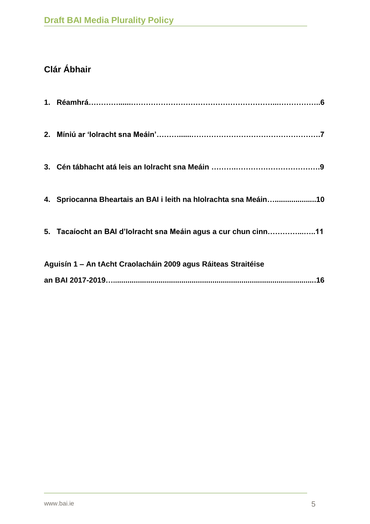# **Clár Ábhair**

|                                                               | 4. Spriocanna Bheartais an BAI i leith na hIolrachta sna Meáin10 |
|---------------------------------------------------------------|------------------------------------------------------------------|
|                                                               | 5. Tacaíocht an BAI d'Iolracht sna Meáin agus a cur chun cinn11  |
| Aguisín 1 – An tAcht Craolacháin 2009 agus Ráiteas Straitéise |                                                                  |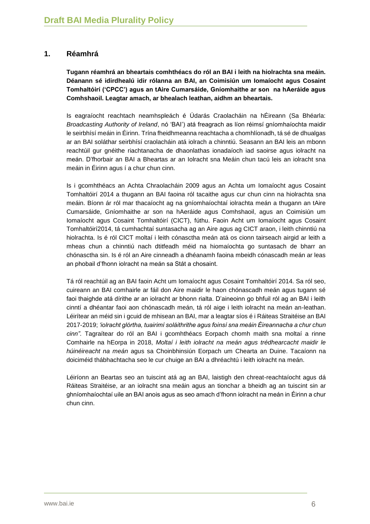# **1. Réamhrá**

**Tugann réamhrá an bheartais comhthéacs do ról an BAI i leith na hiolrachta sna meáin. Déanann sé idirdhealú idir rólanna an BAI, an Coimisiún um Iomaíocht agus Cosaint Tomhaltóirí ('CPCC') agus an tAire Cumarsáide, Gníomhaithe ar son na hAeráide agus Comhshaoil. Leagtar amach, ar bhealach leathan, aidhm an bheartais.**

Is eagraíocht reachtach neamhspleách é Údarás Craolacháin na hÉireann (Sa Bhéarla: *Broadcasting Authority of Ireland*, nó 'BAI') atá freagrach as líon réimsí gníomhaíochta maidir le seirbhísí meáin in Éirinn. Trína fheidhmeanna reachtacha a chomhlíonadh, tá sé de dhualgas ar an BAI soláthar seirbhísí craolacháin atá iolrach a chinntiú. Seasann an BAI leis an mbonn reachtúil gur gnéithe riachtanacha de dhaonlathas ionadaíoch iad saoirse agus iolracht na meán. D'fhorbair an BAI a Bheartas ar an Iolracht sna Meáin chun tacú leis an iolracht sna meáin in Éirinn agus í a chur chun cinn.

Is i gcomhthéacs an Achta Chraolacháin 2009 agus an Achta um Iomaíocht agus Cosaint Tomhaltóirí 2014 a thugann an BAI faoina ról tacaithe agus cur chun cinn na hiolrachta sna meáin. Bíonn ár ról mar thacaíocht ag na gníomhaíochtaí iolrachta meán a thugann an tAire Cumarsáide, Gníomhaithe ar son na hAeráide agus Comhshaoil, agus an Coimisiún um Iomaíocht agus Cosaint Tomhaltóirí (CICT), fúthu. Faoin Acht um Iomaíocht agus Cosaint Tomhaltóirí2014, tá cumhachtaí suntasacha ag an Aire agus ag CICT araon, i leith chinntiú na hiolrachta. Is é ról CICT moltaí i leith cónasctha meán atá os cionn tairseach airgid ar leith a mheas chun a chinntiú nach dtitfeadh méid na hiomaíochta go suntasach de bharr an chónasctha sin. Is é ról an Aire cinneadh a dhéanamh faoina mbeidh cónascadh meán ar leas an phobail d'fhonn iolracht na meán sa Stát a chosaint.

Tá ról reachtúil ag an BAI faoin Acht um Iomaíocht agus Cosaint Tomhaltóirí 2014. Sa ról seo, cuireann an BAI comhairle ar fáil don Aire maidir le haon chónascadh meán agus tugann sé faoi thaighde atá dírithe ar an iolracht ar bhonn rialta. D'aineoinn go bhfuil ról ag an BAI i leith cinntí a dhéantar faoi aon chónascadh meán, tá ról aige i leith iolracht na meán an-leathan. Léirítear an méid sin i gcuid de mhisean an BAI, mar a leagtar síos é i Ráiteas Straitéise an BAI 2017-2019; *'iolracht glórtha, tuairimí soláithrithe agus foinsí sna meáin Éireannacha a chur chun cinn"*. Tagraítear do ról an BAI i gcomhthéacs Eorpach chomh maith sna moltaí a rinne Comhairle na hEorpa in 2018, *Moltaí i leith iolracht na meán agus trédhearcacht maidir le húinéireacht na meán* agus sa Choinbhinsiún Eorpach um Chearta an Duine. Tacaíonn na doiciméid thábhachtacha seo le cur chuige an BAI a dhréachtú i leith iolracht na meán.

Léiríonn an Beartas seo an tuiscint atá ag an BAI, laistigh den chreat-reachtaíocht agus dá Ráiteas Straitéise, ar an iolracht sna meáin agus an tionchar a bheidh ag an tuiscint sin ar ghníomhaíochtaí uile an BAI anois agus as seo amach d'fhonn iolracht na meán in Éirinn a chur chun cinn.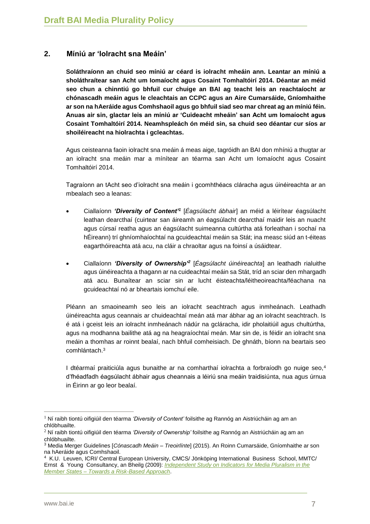# **2. Míniú ar 'Iolracht sna Meáin'**

**Soláthraíonn an chuid seo míniú ar céard is iolracht mheáin ann. Leantar an míniú a sholáthraítear san Acht um Iomaíocht agus Cosaint Tomhaltóirí 2014. Déantar an méid seo chun a chinntiú go bhfuil cur chuige an BAI ag teacht leis an reachtaíocht ar chónascadh meáin agus le cleachtais an CCPC agus an Aire Cumarsáide, Gníomhaithe ar son na hAeráide agus Comhshaoil agus go bhfuil siad seo mar chreat ag an míniú féin. Anuas air sin, glactar leis an míniú ar 'Cuideacht mheáin' san Acht um Iomaíocht agus Cosaint Tomhaltóirí 2014. Neamhspleách ón méid sin, sa chuid seo déantar cur síos ar shoiléireacht na hiolrachta i gcleachtas.**

Agus ceisteanna faoin iolracht sna meáin á meas aige, tagróidh an BAI don mhíniú a thugtar ar an iolracht sna meáin mar a mínítear an téarma san Acht um Iomaíocht agus Cosaint Tomhaltóirí 2014.

Tagraíonn an tAcht seo d'iolracht sna meáin i gcomhthéacs cláracha agus úinéireachta ar an mbealach seo a leanas:

- Ciallaíonn *'Diversity of Content'<sup>1</sup>* [*Éagsúlacht ábhair*] an méid a léirítear éagsúlacht leathan dearcthaí (cuirtear san áireamh an éagsúlacht dearcthaí maidir leis an nuacht agus cúrsaí reatha agus an éagsúlacht suimeanna cultúrtha atá forleathan i sochaí na hÉireann) trí ghníomhaíochtaí na gcuideachtaí meáin sa Stát; ina measc siúd an t-éiteas eagarthóireachta atá acu, na cláir a chraoltar agus na foinsí a úsáidtear.
- Ciallaíonn *'Diversity of Ownership'<sup>2</sup>* [*Éagsúlacht úinéireachta*] an leathadh rialuithe agus úinéireachta a thagann ar na cuideachtaí meáin sa Stát, tríd an sciar den mhargadh atá acu. Bunaítear an sciar sin ar lucht éisteachta/léitheoireachta/féachana na gcuideachtaí nó ar bheartais iomchuí eile.

Pléann an smaoineamh seo leis an iolracht seachtrach agus inmheánach. Leathadh úinéireachta agus ceannais ar chuideachtaí meán atá mar ábhar ag an iolracht seachtrach. Is é atá i gceist leis an iolracht inmheánach nádúr na gcláracha, idir pholaitiúil agus chultúrtha, agus na modhanna bailithe atá ag na heagraíochtaí meán. Mar sin de, is féidir an iolracht sna meáin a thomhas ar roinnt bealaí, nach bhfuil comheisiach. De ghnáth, bíonn na beartais seo comhlántach.<sup>3</sup>

I dtéarmaí praiticiúla agus bunaithe ar na comharthaí iolrachta a forbraíodh go nuige seo,<sup>4</sup> d'fhéadfadh éagsúlacht ábhair agus cheannais a léiriú sna meáin traidisiúnta, nua agus úrnua in Éirinn ar go leor bealaí.

<sup>1</sup> Ní raibh tiontú oifigiúil den téarma *'Diversity of Content'* foilsithe ag Rannóg an Aistriúcháin ag am an chlóbhuailte.

<sup>2</sup> Ní raibh tiontú oifigiúil den téarma *'Diversity of Ownership'* foilsithe ag Rannóg an Aistriúcháin ag am an chlóbhuailte.

<sup>3</sup> Media Merger Guidelines [*Cónascadh Meáin – Treoirlínte*] (2015). An Roinn Cumarsáide, Gníomhaithe ar son na hAeráide agus Comhshaoil.

<sup>4</sup> K.U. Leuven, ICRI/ Central European University, CMCS/ Jönköping International Business School, MMTC/ Ernst & Young Consultancy, an Bheilg (2009): *[Independent Study on Indicators for Media Pluralism in the](http://ec.europa.eu/information_society/media_taskforce/doc/pluralism/pfr_report.pdf)  Member States – [Towards a Risk-Based Approach](http://ec.europa.eu/information_society/media_taskforce/doc/pluralism/pfr_report.pdf)*.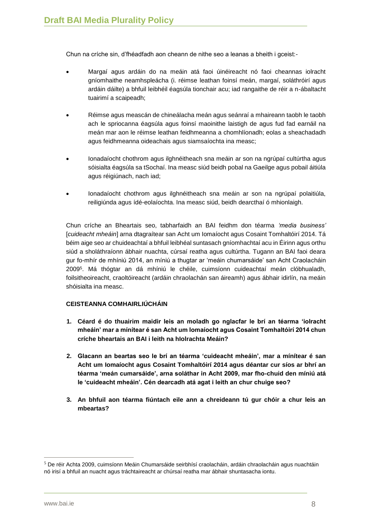Chun na críche sin, d'fhéadfadh aon cheann de nithe seo a leanas a bheith i gceist:-

- Margaí agus ardáin do na meáin atá faoi úinéireacht nó faoi cheannas iolracht gníomhaithe neamhspleácha (i. réimse leathan foinsí meán, margaí, soláthróirí agus ardáin dáilte) a bhfuil leibhéil éagsúla tionchair acu; iad rangaithe de réir a n-ábaltacht tuairimí a scaipeadh;
- Réimse agus meascán de chineálacha meán agus seánraí a mhaireann taobh le taobh ach le spriocanna éagsúla agus foinsí maoinithe laistigh de agus fud fad earnáil na meán mar aon le réimse leathan feidhmeanna a chomhlíonadh; eolas a sheachadadh agus feidhmeanna oideachais agus siamsaíochta ina measc;
- Ionadaíocht chothrom agus ilghnéitheach sna meáin ar son na ngrúpaí cultúrtha agus sóisialta éagsúla sa tSochaí. Ina measc siúd beidh pobal na Gaeilge agus pobail áitiúla agus réigiúnach, nach iad;
- Ionadaíocht chothrom agus ilghnéitheach sna meáin ar son na ngrúpaí polaitiúla, reiligiúnda agus ídé-eolaíochta. Ina measc siúd, beidh dearcthaí ó mhionlaigh.

Chun críche an Bheartais seo, tabharfaidh an BAI feidhm don téarma *'media business'*  [*cuideacht mheáin*] arna dtagraítear san Acht um Iomaíocht agus Cosaint Tomhaltóirí 2014. Tá béim aige seo ar chuideachtaí a bhfuil leibhéal suntasach gníomhachtaí acu in Éirinn agus orthu siúd a sholáthraíonn ábhair nuachta, cúrsaí reatha agus cultúrtha. Tugann an BAI faoi deara gur fo-mhír de mhíniú 2014, an míniú a thugtar ar 'meáin chumarsáide' san Acht Craolacháin 2009<sup>5</sup> . Má thógtar an dá mhíniú le chéile, cuimsíonn cuideachtaí meán clóbhualadh, foilsitheoireacht, craoltóireacht (ardáin chraolachán san áireamh) agus ábhair idirlín, na meáin shóisialta ina measc.

#### **CEISTEANNA COMHAIRLIÚCHÁIN**

- **1. Céard é do thuairim maidir leis an moladh go nglacfar le brí an téarma 'iolracht mheáin' mar a mínítear é san Acht um Iomaíocht agus Cosaint Tomhaltóirí 2014 chun críche bheartais an BAI i leith na hIolrachta Meáin?**
- **2. Glacann an beartas seo le brí an téarma 'cuideacht mheáin', mar a mínítear é san Acht um Iomaíocht agus Cosaint Tomhaltóirí 2014 agus déantar cur síos ar bhrí an téarma 'meán cumarsáide', arna soláthar in Acht 2009, mar fho-chuid den míniú atá le 'cuideacht mheáin'. Cén dearcadh atá agat i leith an chur chuige seo?**
- **3. An bhfuil aon téarma fiúntach eile ann a chreideann tú gur chóir a chur leis an mbeartas?**

<sup>5</sup> De réir Achta 2009, cuimsíonn Meáin Chumarsáide seirbhísí craolacháin, ardáin chraolacháin agus nuachtáin nó irisí a bhfuil an nuacht agus tráchtaireacht ar chúrsaí reatha mar ábhair shuntasacha iontu.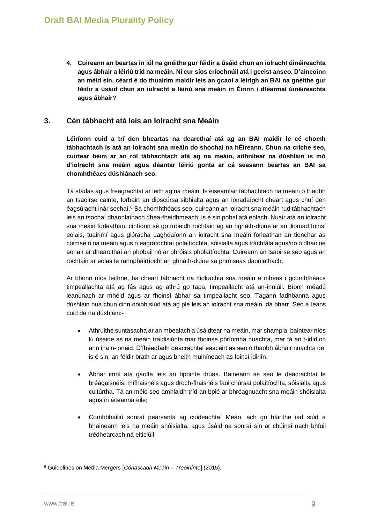**4. Cuireann an beartas in iúl na gnéithe gur féidir a úsáid chun an iolracht úinéireachta agus ábhair a léiriú tríd na meáin. Ní cur síos críochnúil atá i gceist anseo. D'aineoinn an méid sin, céard é do thuairim maidir leis an gcaoi a léirigh an BAI na gnéithe gur féidir a úsáid chun an iolracht a léiriú sna meáin in Éirinn i dtéarmaí úinéireachta agus ábhair?** 

# **3. Cén tábhacht atá leis an Iolracht sna Meáin**

**Léiríonn cuid a trí den bheartas na dearcthaí atá ag an BAI maidir le cé chomh tábhachtach is atá an iolracht sna meáin do shochaí na hÉireann. Chun na críche seo, cuirtear béim ar an ról tábhachtach atá ag na meáin, aithnítear na dúshláin is mó d'iolracht sna meáin agus déantar léiriú gonta ar cá seasann beartas an BAI sa chomhthéacs dúshlánach seo.**

Tá stádas agus freagrachtaí ar leith ag na meáin. Is eiseamláir tábhachtach na meáin ó thaobh an tsaoirse cainte, forbairt an dioscúrsa sibhialta agus an ionadaíocht cheart agus chuí den éagsúlacht inár sochaí.<sup>6</sup> Sa chomhthéacs seo, cuireann an iolracht sna meáin rud tábhachtach leis an tsochaí dhaonlathach dhea-fheidhmeach; is é sin pobal atá eolach. Nuair atá an iolracht sna meáin forleathan, cintíonn sé go mbeidh rochtain ag an ngnáth-duine ar an iliomad foinsí eolais, tuairimí agus glóracha Laghdaíonn an iolracht sna meáin forleathan an tionchar as cuimse ó na meáin agus ó eagraíochtaí polaitíochta, sóisialta agus tráchtála agus/nó ó dhaoine aonair ar dhearcthaí an phobail nó ar phróisis pholaítíochta. Cuireann an tsaoirse seo agus an rochtain ar eolas le rannpháirtíocht an ghnáth-duine sa phróiseas daonlathach.

Ar bhonn níos leithne, ba cheart tábhacht na hiolrachta sna meáin a mheas i gcomhthéacs timpeallachta atá ag fás agus ag athrú go tapa, timpeallacht atá an-inniúil. Bíonn méadú leanúnach ar mhéid agus ar fhoinsí ábhar sa timpeallacht seo. Tagann fadhbanna agus dúshláin nua chun cinn dóibh siúd atá ag plé leis an iolracht sna meáin, dá bharr. Seo a leans cuid de na dúshláin:-

- Athruithe suntasacha ar an mbealach a úsáidtear na meáin, mar shampla, baintear níos lú úsáide as na meáin traidisiúnta mar fhoinse phríomha nuachta, mar tá an t-idirlíon ann ina n-ionaid. D'fhéadfadh deacrachtaí eascairt as seo ó thaobh ábhair nuachta de, is é sin, an féidir brath ar agus bheith muiníneach as foinsí idirlín.
- Ábhar imní atá gaolta leis an bpointe thuas. Baineann sé seo le deacrachtaí le bréagaisnéis, mífhaisnéis agus droch-fhaisnéis faoi chúrsaí polaitíochta, sóisialta agus cultúrtha. Tá an méid seo amhlaidh tríd an bplé ar bhréagnuacht sna meáin shóisialta agus in áiteanna eile;
- Comhbhailiú sonraí pearsanta ag cuideachtaí Meán, ach go háirithe iad siúd a bhaineann leis na meáin shóisialta, agus úsáid na sonraí sin ar chúinsí nach bhfuil trédhearcach ná eiticiúil;

 $\overline{a}$ <sup>6</sup> Guidelines on Media Mergers [*Cónascadh Meáin – Treoirlínte*] (2015).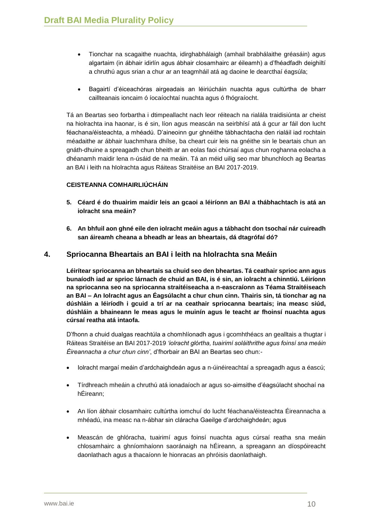- Tionchar na scagaithe nuachta, idirghabhálaigh (amhail brabhálaithe gréasáin) agus algartaim (in ábhair idirlín agus ábhair closamhairc ar éileamh) a d'fhéadfadh deighiltí a chruthú agus srian a chur ar an teagmháil atá ag daoine le dearcthaí éagsúla;
- Bagairtí d'éiceachóras airgeadais an léiriúcháin nuachta agus cultúrtha de bharr caillteanais ioncaim ó íocaíochtaí nuachta agus ó fhógraíocht.

Tá an Beartas seo forbartha i dtimpeallacht nach leor réiteach na rialála traidisiúnta ar cheist na hiolrachta ina haonar, is é sin, líon agus meascán na seirbhísí atá á gcur ar fáil don lucht féachana/éisteachta, a mhéadú. D'aineoinn gur ghnéithe tábhachtacha den rialáil iad rochtain méadaithe ar ábhair luachmhara dhílse, ba cheart cuir leis na gnéithe sin le beartais chun an gnáth-dhuine a spreagadh chun bheith ar an eolas faoi chúrsaí agus chun roghanna eolacha a dhéanamh maidir lena n-úsáid de na meáin. Tá an méid uilig seo mar bhunchloch ag Beartas an BAI i leith na hIolrachta agus Ráiteas Straitéise an BAI 2017-2019.

#### **CEISTEANNA COMHAIRLIÚCHÁIN**

- **5. Céard é do thuairim maidir leis an gcaoi a léiríonn an BAI a thábhachtach is atá an iolracht sna meáin?**
- **6. An bhfuil aon ghné eile den iolracht meáin agus a tábhacht don tsochaí nár cuireadh san áireamh cheana a bheadh ar leas an bheartais, dá dtagrófaí dó?**

## **4. Spriocanna Bheartais an BAI i leith na hIolrachta sna Meáin**

**Léirítear spriocanna an bheartais sa chuid seo den bheartas. Tá ceathair sprioc ann agus bunaíodh iad ar sprioc lárnach de chuid an BAI, is é sin, an iolracht a chinntiú. Léiríonn na spriocanna seo na spriocanna straitéiseacha a n-eascraíonn as Téama Straitéiseach an BAI – An Iolracht agus an Éagsúlacht a chur chun cinn. Thairis sin, tá tionchar ag na dúshláin a léiríodh i gcuid a trí ar na ceathair spriocanna beartais; ina measc siúd, dúshláin a bhaineann le meas agus le muinín agus le teacht ar fhoinsí nuachta agus cúrsaí reatha atá intaofa.**

D'fhonn a chuid dualgas reachtúla a chomhlíonadh agus i gcomhthéacs an gealltais a thugtar i Ráiteas Straitéise an BAI 2017-2019 *'iolracht glórtha, tuairimí soláithrithe agus foinsí sna meáin Éireannacha a chur chun cinn'*, d'fhorbair an BAI an Beartas seo chun:-

- Iolracht margaí meáin d'ardchaighdeán agus a n-úinéireachtaí a spreagadh agus a éascú;
- Tírdhreach mheáin a chruthú atá ionadaíoch ar agus so-aimsithe d'éagsúlacht shochaí na hÉireann;
- An líon ábhair closamhairc cultúrtha iomchuí do lucht féachana/éisteachta Éireannacha a mhéadú, ina measc na n-ábhar sin cláracha Gaeilge d'ardchaighdeán; agus
- Meascán de ghlóracha, tuairimí agus foinsí nuachta agus cúrsaí reatha sna meáin chlosamhairc a ghníomhaíonn saoránaigh na hÉireann, a spreagann an díospóireacht daonlathach agus a thacaíonn le hionracas an phróisis daonlathaigh.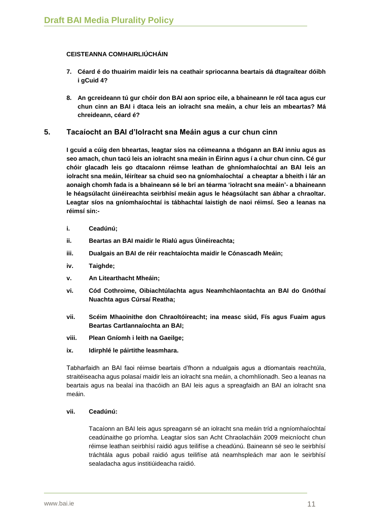## **CEISTEANNA COMHAIRLIÚCHÁIN**

- **7. Céard é do thuairim maidir leis na ceathair spriocanna beartais dá dtagraítear dóibh i gCuid 4?**
- **8. An gcreideann tú gur chóir don BAI aon sprioc eile, a bhaineann le ról taca agus cur chun cinn an BAI i dtaca leis an iolracht sna meáin, a chur leis an mbeartas? Má chreideann, céard é?**

## **5. Tacaíocht an BAI d'Iolracht sna Meáin agus a cur chun cinn**

**I gcuid a cúig den bheartas, leagtar síos na céimeanna a thógann an BAI inniu agus as seo amach, chun tacú leis an iolracht sna meáin in Éirinn agus í a chur chun cinn. Cé gur chóir glacadh leis go dtacaíonn réimse leathan de ghníomhaíochtaí an BAI leis an iolracht sna meáin, léirítear sa chuid seo na gníomhaíochtaí a cheaptar a bheith i lár an aonaigh chomh fada is a bhaineann sé le brí an téarma 'iolracht sna meáin'- a bhaineann le héagsúlacht úinéireachta seirbhísí meáin agus le héagsúlacht san ábhar a chraoltar. Leagtar síos na gníomhaíochtaí is tábhachtaí laistigh de naoi réimsí. Seo a leanas na réimsí sin:-**

- **i. Ceadúnú;**
- **ii. Beartas an BAI maidir le Rialú agus Úinéireachta;**
- **iii. Dualgais an BAI de réir reachtaíochta maidir le Cónascadh Meáin;**
- **iv. Taighde;**
- **v. An Litearthacht Mheáin;**
- **vi. Cód Cothroime, Oibiachtúlachta agus Neamhchlaontachta an BAI do Gnóthaí Nuachta agus Cúrsaí Reatha;**
- **vii. Scéim Mhaoinithe don Chraoltóireacht; ina measc siúd, Fís agus Fuaim agus Beartas Cartlannaíochta an BAI;**
- **viii. Plean Gníomh i leith na Gaeilge;**
- **ix. Idirphlé le páirtithe leasmhara.**

Tabharfaidh an BAI faoi réimse beartais d'fhonn a ndualgais agus a dtiomantais reachtúla, straitéiseacha agus polasaí maidir leis an iolracht sna meáin, a chomhlíonadh. Seo a leanas na beartais agus na bealaí ina thacóidh an BAI leis agus a spreagfaidh an BAI an iolracht sna meáin.

#### **vii. Ceadúnú:**

Tacaíonn an BAI leis agus spreagann sé an iolracht sna meáin tríd a ngníomhaíochtaí ceadúnaithe go príomha. Leagtar síos san Acht Chraolacháin 2009 meicníocht chun réimse leathan seirbhísí raidió agus teilifíse a cheadúnú. Baineann sé seo le seirbhísí tráchtála agus pobail raidió agus teilifíse atá neamhspleách mar aon le seirbhísí sealadacha agus institiúideacha raidió.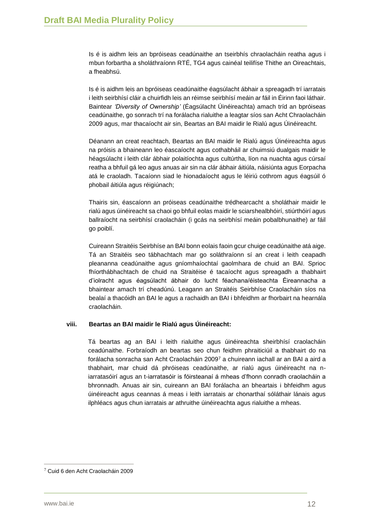Is é is aidhm leis an bpróiseas ceadúnaithe an tseirbhís chraolacháin reatha agus i mbun forbartha a sholáthraíonn RTÉ, TG4 agus cainéal teilifíse Thithe an Oireachtais, a fheabhsú.

Is é is aidhm leis an bpróiseas ceadúnaithe éagsúlacht ábhair a spreagadh trí iarratais i leith seirbhísí cláir a chuirfidh leis an réimse seirbhísí meáin ar fáil in Éirinn faoi láthair. Baintear *'Diversity of Ownership'* (Éagsúlacht Úinéireachta) amach tríd an bpróiseas ceadúnaithe, go sonrach trí na forálacha rialuithe a leagtar síos san Acht Chraolacháin 2009 agus, mar thacaíocht air sin, Beartas an BAI maidir le Rialú agus Úinéireacht.

Déanann an creat reachtach, Beartas an BAI maidir le Rialú agus Úinéireachta agus na próisis a bhaineann leo éascaíocht agus cothabháil ar chuimsiú dualgais maidir le héagsúlacht i leith clár ábhair polaitíochta agus cultúrtha, líon na nuachta agus cúrsaí reatha a bhfuil gá leo agus anuas air sin na clár ábhair áitiúla, náisiúnta agus Eorpacha atá le craoladh. Tacaíonn siad le hionadaíocht agus le léiriú cothrom agus éagsúil ó phobail áitiúla agus réigiúnach;

Thairis sin, éascaíonn an próiseas ceadúnaithe trédhearcacht a sholáthair maidir le rialú agus úinéireacht sa chaoi go bhfuil eolas maidir le sciarshealbhóirí, stiúrthóirí agus ballraíocht na seirbhísí craolacháin (i gcás na seirbhísí meáin pobalbhunaithe) ar fáil go poiblí.

Cuireann Straitéis Seirbhíse an BAI bonn eolais faoin gcur chuige ceadúnaithe atá aige. Tá an Straitéis seo tábhachtach mar go soláthraíonn sí an creat i leith ceapadh pleananna ceadúnaithe agus gníomhaíochtaí gaolmhara de chuid an BAI. Sprioc fhíorthábhachtach de chuid na Straitéise é tacaíocht agus spreagadh a thabhairt d'iolracht agus éagsúlacht ábhair do lucht féachana/éisteachta Éireannacha a bhaintear amach trí cheadúnú. Leagann an Straitéis Seirbhíse Craolacháin síos na bealaí a thacóidh an BAI le agus a rachaidh an BAI i bhfeidhm ar fhorbairt na hearnála craolacháin.

#### **viii. Beartas an BAI maidir le Rialú agus Úinéireacht:**

Tá beartas ag an BAI i leith rialuithe agus úinéireachta sheirbhísí craolacháin ceadúnaithe. Forbraíodh an beartas seo chun feidhm phraiticiúil a thabhairt do na forálacha sonracha san Acht Craolacháin 2009<sup>7</sup> a chuireann iachall ar an BAI a aird a thabhairt, mar chuid dá phróiseas ceadúnaithe, ar rialú agus úinéireacht na niarratasóirí agus an t-iarratasóir is fóirsteanaí á mheas d'fhonn conradh craolacháin a bhronnadh. Anuas air sin, cuireann an BAI forálacha an bheartais i bhfeidhm agus úinéireacht agus ceannas á meas i leith iarratais ar chonarthaí sóláthair lánais agus ilphléacs agus chun iarratais ar athruithe úinéireachta agus rialuithe a mheas.

 $7$  Cuid 6 den Acht Craolacháin 2009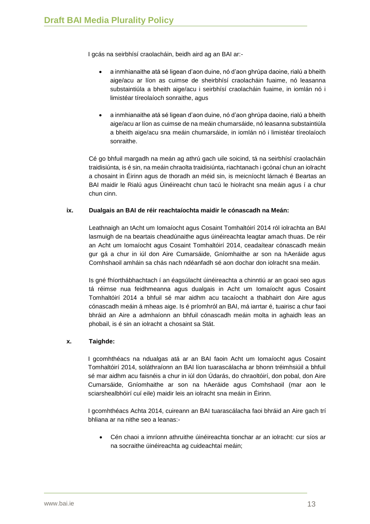I gcás na seirbhísí craolacháin, beidh aird ag an BAI ar:-

- a inmhianaithe atá sé ligean d'aon duine, nó d'aon ghrúpa daoine, rialú a bheith aige/acu ar líon as cuimse de sheirbhísí craolacháin fuaime, nó leasanna substaintiúla a bheith aige/acu i seirbhísí craolacháin fuaime, in iomlán nó i limistéar tíreolaíoch sonraithe, agus
- a inmhianaithe atá sé ligean d'aon duine, nó d'aon ghrúpa daoine, rialú a bheith aige/acu ar líon as cuimse de na meáin chumarsáide, nó leasanna substaintiúla a bheith aige/acu sna meáin chumarsáide, in iomlán nó i limistéar tíreolaíoch sonraithe.

Cé go bhfuil margadh na meán ag athrú gach uile soicind, tá na seirbhísí craolacháin traidisiúnta, is é sin, na meáin chraolta traidisiúnta, riachtanach i gcónaí chun an iolracht a chosaint in Éirinn agus de thoradh an méid sin, is meicníocht lárnach é Beartas an BAI maidir le Rialú agus Úinéireacht chun tacú le hiolracht sna meáin agus í a chur chun cinn.

## **ix. Dualgais an BAI de réir reachtaíochta maidir le cónascadh na Meán:**

Leathnaigh an tAcht um Iomaíocht agus Cosaint Tomhaltóirí 2014 ról iolrachta an BAI lasmuigh de na beartais cheadúnaithe agus úinéireachta leagtar amach thuas. De réir an Acht um Iomaíocht agus Cosaint Tomhaltóirí 2014, ceadaítear cónascadh meáin gur gá a chur in iúl don Aire Cumarsáide, Gníomhaithe ar son na hAeráide agus Comhshaoil amháin sa chás nach ndéanfadh sé aon dochar don iolracht sna meáin.

Is gné fhíorthábhachtach í an éagsúlacht úinéireachta a chinntiú ar an gcaoi seo agus tá réimse nua feidhmeanna agus dualgais in Acht um Iomaíocht agus Cosaint Tomhaltóirí 2014 a bhfuil sé mar aidhm acu tacaíocht a thabhairt don Aire agus cónascadh meáin á mheas aige. Is é príomhról an BAI, má iarrtar é, tuairisc a chur faoi bhráid an Aire a admhaíonn an bhfuil cónascadh meáin molta in aghaidh leas an phobail, is é sin an iolracht a chosaint sa Stát.

## **x. Taighde:**

I gcomhthéacs na ndualgas atá ar an BAI faoin Acht um Iomaíocht agus Cosaint Tomhaltóirí 2014, soláthraíonn an BAI líon tuarascálacha ar bhonn tréimhsiúil a bhfuil sé mar aidhm acu faisnéis a chur in iúl don Údarás, do chraoltóirí, don pobal, don Aire Cumarsáide, Gníomhaithe ar son na hAeráide agus Comhshaoil (mar aon le sciarshealbhóirí cuí eile) maidir leis an iolracht sna meáin in Éirinn.

I gcomhthéacs Achta 2014, cuireann an BAI tuarascálacha faoi bhráid an Aire gach trí bhliana ar na nithe seo a leanas:-

 Cén chaoi a imríonn athruithe úinéireachta tionchar ar an iolracht: cur síos ar na socraithe úinéireachta ag cuideachtaí meáin;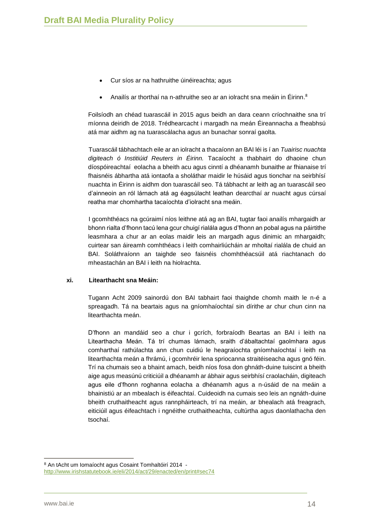- Cur síos ar na hathruithe úinéireachta; agus
- Anailís ar thorthaí na n-athruithe seo ar an iolracht sna meáin in Éirinn.<sup>8</sup>

Foilsíodh an chéad tuarascáil in 2015 agus beidh an dara ceann críochnaithe sna trí míonna deiridh de 2018. Trédhearcacht i margadh na meán Éireannacha a fheabhsú atá mar aidhm ag na tuarascálacha agus an bunachar sonraí gaolta.

Tuarascáil tábhachtach eile ar an iolracht a thacaíonn an BAI léi is í an *Tuairisc nuachta digiteach ó Institiúid Reuters in Éirinn.* Tacaíocht a thabhairt do dhaoine chun díospóireachtaí eolacha a bheith acu agus cinntí a dhéanamh bunaithe ar fhianaise trí fhaisnéis ábhartha atá iontaofa a sholáthar maidir le húsáid agus tionchar na seirbhísí nuachta in Éirinn is aidhm don tuarascáil seo. Tá tábhacht ar leith ag an tuarascáil seo d'ainneoin an ról lárnach atá ag éagsúlacht leathan dearcthaí ar nuacht agus cúrsaí reatha mar chomhartha tacaíochta d'iolracht sna meáin.

I gcomhthéacs na gcúraimí níos leithne atá ag an BAI, tugtar faoi anailís mhargaidh ar bhonn rialta d'fhonn tacú lena gcur chuigí rialála agus d'fhonn an pobal agus na páirtithe leasmhara a chur ar an eolas maidir leis an margadh agus dinimic an mhargaidh; cuirtear san áireamh comhthéacs i leith comhairliúcháin ar mholtaí rialála de chuid an BAI. Soláthraíonn an taighde seo faisnéis chomhthéacsúil atá riachtanach do mheastachán an BAI i leith na hiolrachta.

#### **xi. Litearthacht sna Meáin:**

Tugann Acht 2009 sainordú don BAI tabhairt faoi thaighde chomh maith le n-é a spreagadh. Tá na beartais agus na gníomhaíochtaí sin dírithe ar chur chun cinn na litearthachta meán.

D'fhonn an mandáid seo a chur i gcrích, forbraíodh Beartas an BAI i leith na Litearthacha Meán. Tá trí chumas lárnach, sraith d'ábaltachtaí gaolmhara agus comharthaí rathúlachta ann chun cuidiú le heagraíochta gníomhaíochtaí i leith na litearthachta meán a fhrámú, i gcomhréir lena spriocanna straitéiseacha agus gnó féin. Trí na chumais seo a bhaint amach, beidh níos fosa don ghnáth-duine tuiscint a bheith aige agus measúnú criticiúil a dhéanamh ar ábhair agus seirbhísí craolacháin, digiteach agus eile d'fhonn roghanna eolacha a dhéanamh agus a n-úsáid de na meáin a bhainistiú ar an mbealach is éifeachtaí. Cuideoidh na cumais seo leis an ngnáth-duine bheith cruthaitheacht agus rannpháirteach, trí na meáin, ar bhealach atá freagrach, eiticiúil agus éifeachtach i ngnéithe cruthaitheachta, cultúrtha agus daonlathacha den tsochaí.

<sup>8</sup> An tAcht um Iomaíocht agus Cosaint Tomhaltóirí 2014 <http://www.irishstatutebook.ie/eli/2014/act/29/enacted/en/print#sec74>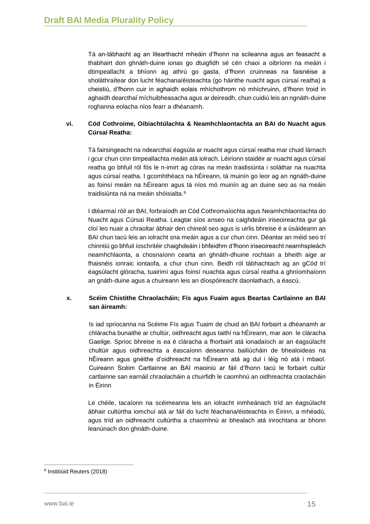Tá an-tábhacht ag an litearthacht mheáin d'fhonn na scileanna agus an feasacht a thabhairt don ghnáth-duine ionas go dtuigfidh sé cén chaoi a oibríonn na meáin i dtimpeallacht a bhíonn ag athrú go gasta, d'fhonn cruinneas na faisnéise a sholáthraítear don lucht féachana/éisteachta (go háirithe nuacht agus cúrsaí reatha) a cheistiú, d'fhonn cuir in aghaidh eolais mhíchothrom nó mhíchruinn, d'fhonn troid in aghaidh dearcthaí míchuibheasacha agus ar deireadh, chun cuidiú leis an ngnáth-duine roghanna eolacha níos fearr a dhéanamh.

# **vi. Cód Cothroime, Oibiachtúlachta & Neamhchlaontachta an BAI do Nuacht agus Cúrsaí Reatha:**

Tá fairsingeacht na ndearcthaí éagsúla ar nuacht agus cúrsaí reatha mar chuid lárnach i gcur chun cinn timpeallachta meáin atá iolrach. Léiríonn staidéir ar nuacht agus cúrsaí reatha go bhfuil ról fós le n-imirt ag córas na meán traidisiúnta i soláthar na nuachta agus cúrsaí reatha. I gcomhthéacs na hÉireann, tá muinín go leor ag an ngnáth-duine as foinsí meáin na hÉireann agus tá níos mó muinín ag an duine seo as na meáin traidisiúnta ná na meáin shóisialta.<sup>9</sup>

I dtéarmaí róil an BAI, forbraíodh an Cód Cothromaíochta agus Neamhchlaontachta do Nuacht agus Cúrsaí Reatha. Leagtar síos anseo na caighdeáin iriseoireachta gur gá cloí leo nuair a chraoltar ábhair den chineál seo agus is uirlis bhreise é a úsáideann an BAI chun tacú leis an iolracht sna meáin agus a cur chun cinn. Déantar an méid seo trí chinntiú go bhfuil íoschritéir chaighdeáin i bhfeidhm d'fhonn iriseoireacht neamhspleách neamhchlaonta, a chosnaíonn cearta an ghnáth-dhuine rochtain a bheith aige ar fhaisnéis ionraic iontaofa, a chur chun cinn. Beidh ról tábhachtach ag an gCód trí éagsúlacht glóracha, tuairimí agus foinsí nuachta agus cúrsaí reatha a ghníomhaíonn an gnáth-duine agus a chuireann leis an díospóireacht daonlathach, a éascú.

## **x. Scéim Chistithe Chraolacháin; Fís agus Fuaim agus Beartas Cartlainne an BAI san áireamh:**

Is iad spriocanna na Scéime Fís agus Tuaim de chuid an BAI forbairt a dhéanamh ar chláracha bunaithe ar chultúr, oidhreacht agus taithí na hÉireann, mar aon le cláracha Gaeilge. Sprioc bhreise is ea é cláracha a fhorbairt atá ionadaíoch ar an éagsúlacht chultúir agus oidhreachta a éascaíonn deiseanna bailiúcháin de bhealoideas na hÉireann agus gnéithe d'oidhreacht na hÉireann atá ag dul i léig nó atá i mbaol. Cuireann Scéim Cartlainne an BAI maoiniú ar fáil d'fhonn tacú le forbairt cultúr cartlainne san earnáil chraolacháin a chuirfidh le caomhnú an oidhreachta craolacháin in Éirinn

Le chéile, tacaíonn na scéimeanna leis an iolracht inmheánach tríd an éagsúlacht ábhair cultúrtha iomchuí atá ar fáil do lucht féachana/éisteachta in Éirinn, a mhéadú, agus tríd an oidhreacht cultúrtha a chaomhnú ar bhealach atá inrochtana ar bhonn leanúnach don ghnáth-duine.

<sup>&</sup>lt;sup>9</sup> Institiúid Reuters (2018)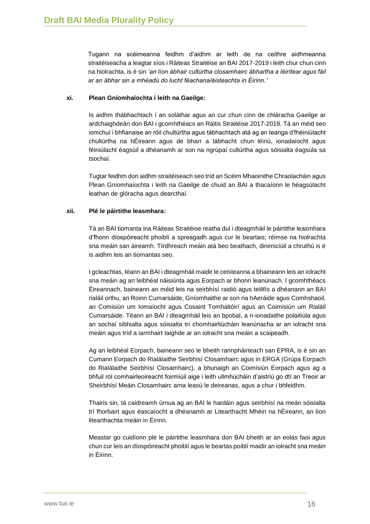Tugann na scéimeanna feidhm d'aidhm ar leith de na ceithre aidhmeanna straitéiseacha a leagtar síos i Ráiteas Straitéise an BAI 2017-2019 i leith chur chun cinn na hiolrachta, is é sin *'an líon ábhair cultúrtha closamhairc ábhartha a léirítear agus fáil ar an ábhar sin a mhéadú do lucht féachana/éisteachta in Éirinn.'*

#### **xi. Plean Gníomhaíochta i leith na Gaeilge:**

Is aidhm thábhachtach í an soláthar agus an cur chun cinn de chláracha Gaeilge ar ardchaighdeán don BAI i gcomhthéacs an Ráitis Straitéise 2017-2019. Tá an méid seo iomchuí i bhfianaise an róil chultúrtha agus tábhachtach atá ag an teanga d'fhéiniúlacht chultúrtha na hÉireann agus de bharr a tábhacht chun léiriú, ionadaíocht agus féiniúlacht éagsúil a dhéanamh ar son na ngrúpaí cultúrtha agus sóisialta éagsúla sa tsochaí.

Tugtar feidhm don aidhm straitéiseach seo tríd an Scéim Mhaoinithe Chraolacháin agus Plean Gníomhaíochta i leith na Gaeilge de chuid an BAI a thacaíonn le héagsúlacht leathan de glóracha agus dearcthaí.

## **xii. Plé le páirtithe leasmhara:**

Tá an BAI tiomanta ina Ráiteas Straitéise reatha dul i dteagmháil le páirtithe leasmhara d'fhonn díospóireacht phoiblí a spreagadh agus cur le beartais; réimse na hiolrachta sna meáin san áireamh. Tírdhreach meáin atá beo beathach, dinimiciúil a chruthú is é is aidhm leis an tiomantas seo.

I gcleachtas, téann an BAI i dteagmháil maidir le ceisteanna a bhaineann leis an iolracht sna meáin ag an leibhéal náisiúnta agus Eorpach ar bhonn leanúnach. I gcomhthéacs Éireannach, baineann an méid leis na seirbhísí raidió agus teilifís a dhéanann an BAI rialáil orthu, an Roinn Cumarsáide, Gníomhaithe ar son na hAeráide agus Comhshaoil, an Comisiún um Iomaíocht agus Cosaint Tomhaltóirí agus an Coimisiún um Rialáil Cumarsáide. Téann an BAI i dteagmháil leis an bpobal, a n-ionadaithe polaitiúla agus an sochaí sibhialta agus sóisialta trí chomhairliúcháin leanúnacha ar an iolracht sna meáin agus tríd a iarmhairt taighde ar an iolracht sna meáin a scaipeadh.

Ag an leibhéal Eorpach, baineann seo le bheith rannpháirteach san EPRA, is é sin an Cumann Eorpach do Rialálaithe Seirbhísí Closamhairc agus in ERGA (Grúpa Eorpach do Rialálaithe Seirbhísí Closamhairc), a bhunaigh an Coimisiún Eorpach agus ag a bhfuil ról comhairleoireacht foirmiúil aige i leith ullmhúcháin d'aistriú go dtí an Treoir ar Sheirbhísí Meáin Closamhairc arna leasú le deireanas, agus a chur i bhfeidhm.

Thairis sin, tá caidreamh úrnua ag an BAI le hardáin agus seirbhísí na meán sóisialta trí fhorbairt agus éascaíocht a dhéanamh ar Litearthacht Mhéin na hÉireann, an líon litearthachta meáin in Éirinn.

Meastar go cuidíonn plé le páirtithe leasmhara don BAI bheith ar an eolas faoi agus chun cur leis an díospóireacht phoiblí agus le beartas poiblí maidir an iolracht sna meáin in Éirinn.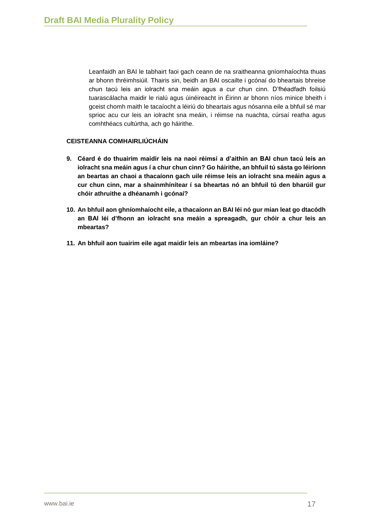Leanfaidh an BAI le tabhairt faoi gach ceann de na sraitheanna gníomhaíochta thuas ar bhonn thréimhsiúil. Thairis sin, beidh an BAI oscailte i gcónaí do bheartais bhreise chun tacú leis an iolracht sna meáin agus a cur chun cinn. D'fhéadfadh foilsiú tuarascálacha maidir le rialú agus úinéireacht in Éirinn ar bhonn níos minice bheith i gceist chomh maith le tacaíocht a léiriú do bheartais agus nósanna eile a bhfuil sé mar sprioc acu cur leis an iolracht sna meáin, i réimse na nuachta, cúrsaí reatha agus comhthéacs cultúrtha, ach go háirithe.

### **CEISTEANNA COMHAIRLIÚCHÁIN**

- **9. Céard é do thuairim maidir leis na naoi réimsí a d'aithin an BAI chun tacú leis an iolracht sna meáin agus í a chur chun cinn? Go háirithe, an bhfuil tú sásta go léiríonn an beartas an chaoi a thacaíonn gach uile réimse leis an iolracht sna meáin agus a cur chun cinn, mar a shainmhínítear í sa bheartas nó an bhfuil tú den bharúil gur chóir athruithe a dhéanamh i gcónaí?**
- **10. An bhfuil aon ghníomhaíocht eile, a thacaíonn an BAI léi nó gur mian leat go dtacódh an BAI léi d'fhonn an iolracht sna meáin a spreagadh, gur chóir a chur leis an mbeartas?**
- **11. An bhfuil aon tuairim eile agat maidir leis an mbeartas ina iomláine?**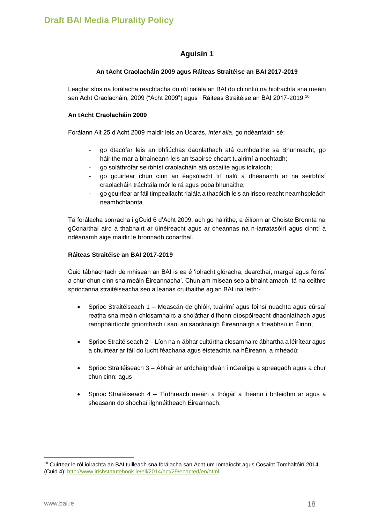# **Aguisín 1**

# **An tAcht Craolacháin 2009 agus Ráiteas Straitéise an BAI 2017-2019**

Leagtar síos na forálacha reachtacha do ról rialála an BAI do chinntiú na hiolrachta sna meáin san Acht Craolacháin, 2009 ("Acht 2009") agus i Ráiteas Straitéise an BAI 2017-2019.<sup>10</sup>

## **An tAcht Craolacháin 2009**

Forálann Alt 25 d'Acht 2009 maidir leis an Údarás, *inter alia*, go ndéanfaidh sé:

- go dtacófar leis an bhfiúchas daonlathach atá cumhdaithe sa Bhunreacht, go háirithe mar a bhaineann leis an tsaoirse cheart tuairimí a nochtadh;
- go soláthrófar seirbhísí craolacháin atá oscailte agus iolraíoch;
- go gcuirfear chun cinn an éagsúlacht trí rialú a dhéanamh ar na seirbhísí craolacháin tráchtála mór le rá agus pobalbhunaithe;
- go gcuirfear ar fáil timpeallacht rialála a thacóidh leis an iriseoireacht neamhspleách neamhchlaonta.

Tá forálacha sonracha i gCuid 6 d'Acht 2009, ach go háirithe, a éilíonn ar Choiste Bronnta na gConarthaí aird a thabhairt ar úinéireacht agus ar cheannas na n-iarratasóirí agus cinntí a ndéanamh aige maidir le bronnadh conarthaí.

## **Ráiteas Straitéise an BAI 2017-2019**

Cuid tábhachtach de mhisean an BAI is ea é 'iolracht glóracha, dearcthaí, margaí agus foinsí a chur chun cinn sna meáin Éireannacha'. Chun am misean seo a bhaint amach, tá na ceithre spriocanna straitéiseacha seo a leanas cruthaithe ag an BAI ina leith:-

- Sprioc Straitéiseach 1 Meascán de ghlóir, tuairimí agus foinsí nuachta agus cúrsaí reatha sna meáin chlosamhairc a sholáthar d'fhonn díospóireacht dhaonlathach agus rannpháirtíocht gníomhach i saol an saoránaigh Éireannaigh a fheabhsú in Éirinn;
- Sprioc Straitéiseach 2 Líon na n-ábhar cultúrtha closamhairc ábhartha a léirítear agus a chuirtear ar fáil do lucht féachana agus éisteachta na hÉireann, a mhéadú;
- Sprioc Straitéiseach 3 Ábhair ar ardchaighdeán i nGaeilge a spreagadh agus a chur chun cinn; agus
- Sprioc Straitéiseach 4 Tírdhreach meáin a thógáil a théann i bhfeidhm ar agus a sheasann do shochaí ilghnéitheach Éireannach.

 $10$  Cuirtear le ról iolrachta an BAI tuilleadh sna forálacha san Acht um Iomaíocht agus Cosaint Tomhaltóirí 2014 (Cuid 4):<http://www.irishstatutebook.ie/eli/2014/act/29/enacted/en/html>